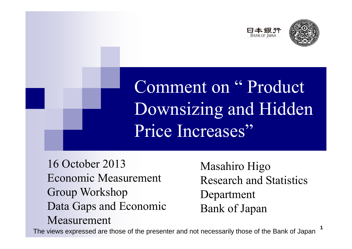



1

Comment on " Product Downsizing and Hidden Price Increases"

16 October 2013Economic Measurement Group Workshop Data Gaps and Economic Measurement

Masahiro Higo Research and Statistics Department Bank of Japan

The views expressed are those of the presenter and not necessarily those of the Bank of Japan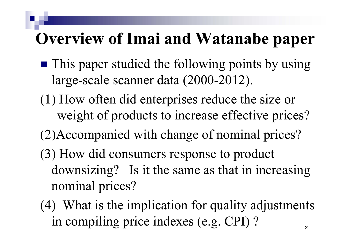#### **Overview of Imai and Watanabe paper**

- **This paper studied the following points by using** large-scale scanner data (2000-2012).
- (1) How often did enterprises reduce the size or weight of products to increase effective prices?
- (2)Accompanied with change of nominal prices?
- (3) How did consumers response to product downsizing? Is it the same as that in increasing nominal prices?
- (4) What is the implication for quality adjustments in compiling price indexes (e.g. CPI) ? 2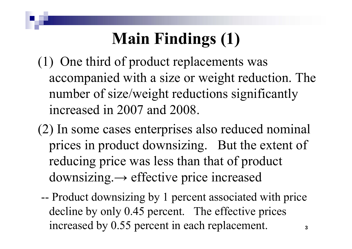## **Main Findings (1)**

- (1) One third of product replacements was accompanied with <sup>a</sup> size or weight reduction. The number of size/weight reductions significantly increased in 2007 and 2008.
- (2) In some cases enterprises also reduced nominal prices in product downsizing. But the extent of reducing price was less than that of product downsizing. <sup>→</sup> effective price increased
	- -- Product downsizing by 1 percen<sup>t</sup> associated with price decline by only 0.45 percent. The effective prices increased by 0.55 percen<sup>t</sup> in each replacement. 3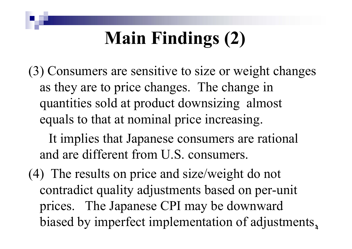# **Main Findings (2)**

(3) Consumers are sensitive to size or weight changes as they are to price changes. The change in quantities sold at product downsizing almost equals to that at nominal price increasing.

It implies that Japanese consumers are rational and are different from U.S. consumers.

(4) The results on price and size/weight do not contradict quality adjustments based on per-unit prices. The Japanese CPI may be downward biased by imperfect implementation of adjustments.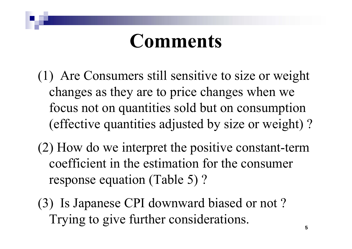# **Comments**

- (1) Are Consumers still sensitive to size or weight changes as they are to price changes when we focus not on quantities sold but on consumption (effective quantities adjusted by size or weight) ?
- (2) How do we interpret the positive constant-term coefficient in the estimation for the consumer response equation (Table 5) ?
- (3) Is Japanese CPI downward biased or not ? Trying to give further considerations.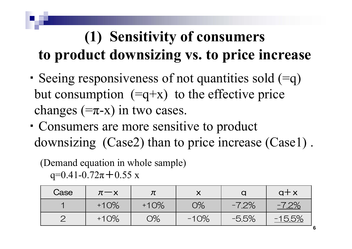#### **(1) Sensitivity of consumers to product downsizing vs. to price increase**

- ・ Seeing responsiveness of not quantities sold (=q) but consumption  $(=q+x)$  to the effective price changes  $(=\pi-{\rm x})$  in two cases.
- ・ Consumers are more sensitive to product downsizing (Case2) than to price increase (Case1) .

#### (Demand equation in whole sample)

q=0.41-0.72 $\pi$  + 0.55 x

| Case | $\pi$ - $\times$ |        |        |         | $q + x$  |
|------|------------------|--------|--------|---------|----------|
|      | $+10%$           | $+10%$ | 0%     | $-7.2%$ | $-7.2%$  |
|      | $+10%$           | $O\%$  | $-10%$ | $-5.5%$ | $-15.5%$ |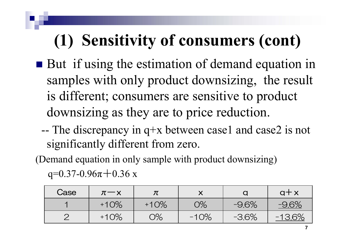## **(1) Sensitivity of consumers (cont)**

- But if using the estimation of demand equation in samples with only product downsizing, the result is different; consumers are sensitive to product downsizing as they are to price reduction.
	- -- The discrepancy in q+x between case1 and case2 is not significantly different from zero.

(Demand equation in only sample with product downsizing)

q=0.37-0.96 $\pi$ +0.36 x

| Case | $\pi$ $\!-\!\times$ |        |        |         | $q + x$  |  |
|------|---------------------|--------|--------|---------|----------|--|
|      | $+10%$              | $+10%$ | О%     | $-9.6%$ | $-9.6%$  |  |
|      | $+10%$              | O%     | $-10%$ | $-3.6%$ | $-13.6%$ |  |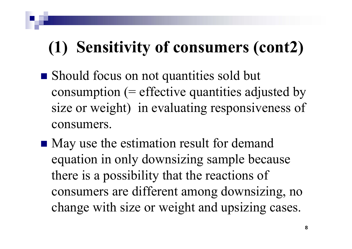## **(1) Sensitivity of consumers (cont2)**

- Should focus on not quantities sold but consumption  $(=$  effective quantities adjusted by size or weight) in evaluating responsiveness of consumers.
- May use the estimation result for demand equation in only downsizing sample because there is <sup>a</sup> possibility that the reactions of consumers are different among downsizing, no change with size or weight and upsizing cases.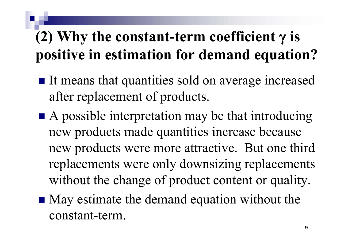#### **(2) Why the constant-term coefficient γ is positive in estimation for demand equation?**

- It means that quantities sold on average increased after replacement of products.
- A possible interpretation may be that introducing new products made quantities increase because new products were more attractive. But one third replacements were only downsizing replacements without the change of product content or quality.
- May estimate the demand equation without the constant-term.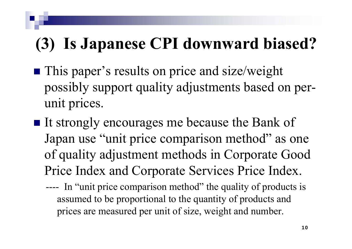#### **(3) Is Japanese CPI downward biased?**

- **This paper's results on price and size/weight** possibly suppor<sup>t</sup> quality adjustments based on perunit prices.
- It strongly encourages me because the Bank of Japan use "unit price comparison method" as one of quality adjustment methods in Corporate Good Price Index and Corporate Services Price Index.
	- ----In "unit price comparison method" the quality of products is assumed to be proportional to the quantity of products and prices are measured per unit of size, weight and number.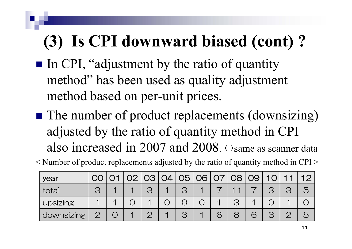## **(3) Is CPI downward biased (cont) ?**

- In CPI, "adjustment by the ratio of quantity method" has been used as quality adjustment method based on per-unit prices.
- The number of product replacements (downsizing) adjusted by the ratio of quantity method in CPI also increased in 2007 and 2008. ⇔same as scanner data

< Number of product replacements adjusted by the ratio of quantity method in CPI >

| year       | OO |  | 02 03 04 05 06 07 |  |  | 08 09 | $1 \cap 1$ | $\overline{\mathcal{A}}$ |  |
|------------|----|--|-------------------|--|--|-------|------------|--------------------------|--|
| total      |    |  |                   |  |  |       |            |                          |  |
| upsizing   |    |  |                   |  |  |       |            |                          |  |
| downsizing |    |  |                   |  |  |       |            |                          |  |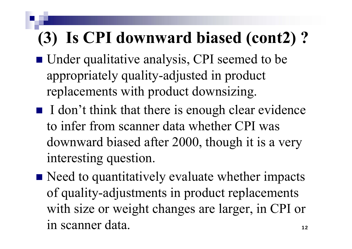## **(3) Is CPI downward biased (cont2) ?**

- Under qualitative analysis, CPI seemed to be appropriately quality-adjusted in product replacements with product downsizing.
- $\blacksquare$  I don't think that there is enough clear evidence to infer from scanner data whether CPI was downward biased after 2000, though it is <sup>a</sup> very interesting question.
- Need to quantitatively evaluate whether impacts of quality-adjustments in product replacements with size or weight changes are larger, in CPI or in scanner data.